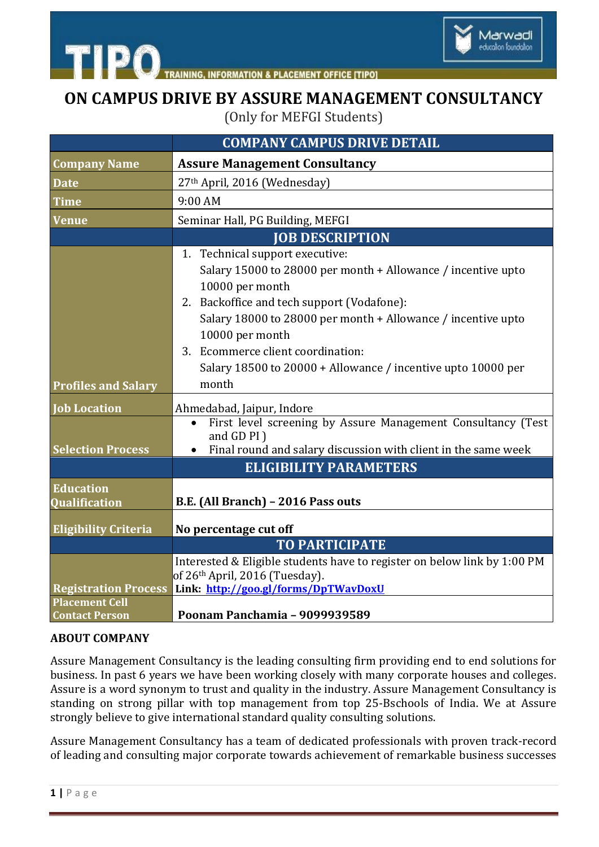

**IING. INFORMATION & PLACEMENT OFFICE ITIPOL** 

## **ON CAMPUS DRIVE BY ASSURE MANAGEMENT CONSULTANCY**

(Only for MEFGI Students)

|                                                | <b>COMPANY CAMPUS DRIVE DETAIL</b>                                                                                                                                                                                                                                                                                                                                |
|------------------------------------------------|-------------------------------------------------------------------------------------------------------------------------------------------------------------------------------------------------------------------------------------------------------------------------------------------------------------------------------------------------------------------|
| <b>Company Name</b>                            | <b>Assure Management Consultancy</b>                                                                                                                                                                                                                                                                                                                              |
| <b>Date</b>                                    | 27th April, 2016 (Wednesday)                                                                                                                                                                                                                                                                                                                                      |
| <b>Time</b>                                    | 9:00 AM                                                                                                                                                                                                                                                                                                                                                           |
| <b>Venue</b>                                   | Seminar Hall, PG Building, MEFGI                                                                                                                                                                                                                                                                                                                                  |
|                                                | <b>JOB DESCRIPTION</b>                                                                                                                                                                                                                                                                                                                                            |
| <b>Profiles and Salary</b>                     | 1. Technical support executive:<br>Salary 15000 to 28000 per month + Allowance / incentive upto<br>10000 per month<br>2. Backoffice and tech support (Vodafone):<br>Salary 18000 to 28000 per month + Allowance / incentive upto<br>10000 per month<br>3. Ecommerce client coordination:<br>Salary 18500 to 20000 + Allowance / incentive upto 10000 per<br>month |
| <b>Job Location</b>                            | Ahmedabad, Jaipur, Indore                                                                                                                                                                                                                                                                                                                                         |
| <b>Selection Process</b>                       | First level screening by Assure Management Consultancy (Test<br>$\bullet$<br>and GD PI)<br>Final round and salary discussion with client in the same week<br><b>ELIGIBILITY PARAMETERS</b>                                                                                                                                                                        |
| <b>Education</b>                               |                                                                                                                                                                                                                                                                                                                                                                   |
| Qualification                                  | B.E. (All Branch) - 2016 Pass outs                                                                                                                                                                                                                                                                                                                                |
| <b>Eligibility Criteria</b>                    | No percentage cut off                                                                                                                                                                                                                                                                                                                                             |
|                                                | <b>TO PARTICIPATE</b>                                                                                                                                                                                                                                                                                                                                             |
| <b>Registration Process</b>                    | Interested & Eligible students have to register on below link by 1:00 PM<br>of 26th April, 2016 (Tuesday).<br>Link: http://goo.gl/forms/DpTWavDoxU                                                                                                                                                                                                                |
| <b>Placement Cell</b><br><b>Contact Person</b> | Poonam Panchamia - 9099939589                                                                                                                                                                                                                                                                                                                                     |

## **ABOUT COMPANY**

**TIPO** 

Assure Management Consultancy is the leading consulting firm providing end to end solutions for business. In past 6 years we have been working closely with many corporate houses and colleges. Assure is a word synonym to trust and quality in the industry. Assure Management Consultancy is standing on strong pillar with top management from top 25-Bschools of India. We at Assure strongly believe to give international standard quality consulting solutions.

Assure Management Consultancy has a team of dedicated professionals with proven track-record of leading and consulting major corporate towards achievement of remarkable business successes